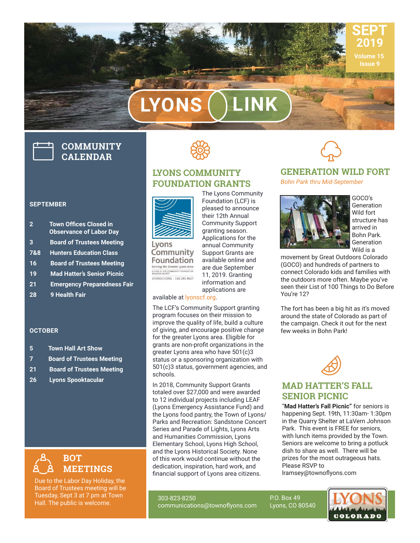

## **COMMUNITY CALENDAR**



- **2** Town Offices Closed in **Observance of Labor Day**
- **3 Board of Trustees Meeting**
- **7&8 Hunters Education Class**
- **16 Board of Trustees Meeting**
- **19 Mad Hatter's Senior Picnic**
- **21 Emergency Preparedness Fair**
- **28 9 Health Fair**

#### **OCTOBER**

- **5 Town Hall Art Show**
- **7 Board of Trustees Meeting**
- **21 Board of Trustees Meeting**
- **26 Lyons Spooktacular**



Due to the Labor Day Holiday, the Board of Trustees meeting will be Tuesday, Sept 3 at 7 pm at Town Hall. The public is welcome.



#### **LYONS COMMUNITY FOUNDATION GRANTS**



Lvons Community **Foundation** Serving the Greater Lyons Area **SETVING THE CHEMICAL LYONS ARE**<br>N FUND OF THE COMMUNITY FOUNDATIO LYONSCEORG - 720.295.9667

Foundation (LCF) is pleased to announce their 12th Annual Community Support granting season. Applications for the annual Community Support Grants are available online and are due September 11, 2019. Granting information and applications are

The Lyons Community

#### available at lyonscf.org.

The LCF's Community Support granting program focuses on their mission to improve the quality of life, build a culture of giving, and encourage positive change for the greater Lyons area. Eligible for grants are non-profit organizations in the greater Lyons area who have 501(c)3 status or a sponsoring organization with 501(c)3 status, government agencies, and schools.

In 2018, Community Support Grants totaled over \$27,000 and were awarded to 12 individual projects including LEAF (Lyons Emergency Assistance Fund) and the Lyons food pantry, the Town of Lyons/ Parks and Recreation: Sandstone Concert Series and Parade of Lights, Lyons Arts and Humanities Commission, Lyons Elementary School, Lyons High School, and the Lyons Historical Society. None of this work would continue without the dedication, inspiration, hard work, and financial support of Lyons area citizens.

303-823-8250 communications@townoflyons.com

# $\bigodot$

### **GENERATION WILD FORT**

*Bohn Park thru Mid-September*



GOCO's **Generation** Wild fort structure has arrived in Bohn Park. Generation Wild is a

**SEPT 2019 Volume 15 Issue 9**

movement by Great Outdoors Colorado (GOCO) and hundreds of partners to connect Colorado kids and families with the outdoors more often. Maybe you've seen their List of 100 Things to Do Before You're 12?

The fort has been a big hit as it's moved around the state of Colorado as part of the campaign. Check it out for the next few weeks in Bohn Park!



"**Mad Hatter's Fall Picnic"** for seniors is happening Sept. 19th, 11:30am- 1:30pm in the Quarry Shelter at LaVern Johnson Park. This event is FREE for seniors, with lunch items provided by the Town. Seniors are welcome to bring a potluck dish to share as well. There will be prizes for the most outrageous hats. Please RSVP to

lramsey@townoflyons.com

P.O. Box 49 Lyons, CO 80540